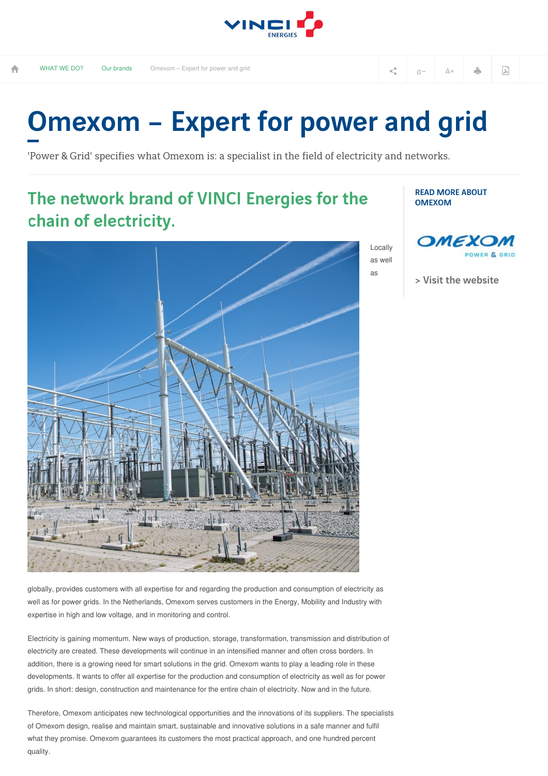

## Omexom – Expert for power and grid

'Power & Grid' specifies what Omexom is: a specialist in the field of electricity and networks.

## The network brand of VINCI Energies for the chain of electricity.



READ MORE ABOUT OMEXOM



> Visit the [website](https://www.omexom.nl/en/)

globally, provides customers with all expertise for and regarding the production and consumption of electricity as well as for power grids. In the Netherlands, Omexom serves customers in the Energy, Mobility and Industry with expertise in high and low voltage, and in monitoring and control.

Electricity is gaining momentum. New ways of production, storage, transformation, transmission and distribution of electricity are created. These developments will continue in an intensified manner and often cross borders. In addition, there is a growing need for smart solutions in the grid. Omexom wants to play a leading role in these developments. It wants to offer all expertise for the production and consumption of electricity as well as for power grids. In short: design, construction and maintenance for the entire chain of electricity. Now and in the future.

Therefore, Omexom anticipates new technological opportunities and the innovations of its suppliers. The specialists of Omexom design, realise and maintain smart, sustainable and innovative solutions in a safe manner and fulfil what they promise. Omexom guarantees its customers the most practical approach, and one hundred percent quality.